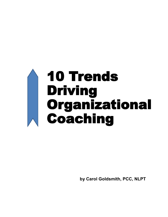# 10 Trends Driving Organizational Coaching

**by Carol Goldsmith, PCC, NLPT**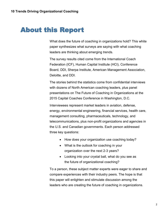# About this Report

What does the future of coaching in organizations hold? This white paper synthesizes what surveys are saying with what coaching leaders are thinking about emerging trends.

The survey results cited come from the International Coach Federation (ICF), Human Capital Institute (HCI), Conference Board, DDI, Sherpa Institute, American Management Association, Deloitte, and DDI.

The stories behind the statistics come from confidential interviews with dozens of North American coaching leaders, plus panel presentations on The Future of Coaching in Organizations at the 2015 Capital Coaches Conference in Washington, D.C.

Interviewees represent market leaders in aviation, defense, energy, environmental engineering, financial services, health care, management consulting, pharmaceuticals, technology, and telecommunications, plus non-profit organizations and agencies in the U.S. and Canadian governments. Each person addressed three key questions:

- How does your organization use coaching today?
- What is the outlook for coaching in your organization over the next 2-3 years?
- Looking into your crystal ball, what do you see as the future of organizational coaching?

To a person, these subject matter experts were eager to share and compare experiences with their industry peers. The hope is that this paper will enlighten and stimulate discussion among the leaders who are creating the future of coaching in organizations.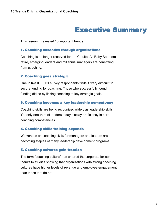# Executive Summary

This research revealed 10 important trends:

## 1. Coaching cascades through organizations

Coaching is no longer reserved for the C-suite. As Baby Boomers retire, emerging leaders and millennial managers are benefitting from coaching.

# 2. Coaching goes strategic

One in five ICF/HCI survey respondents finds it "very difficult" to secure funding for coaching. Those who successfully found funding did so by linking coaching to key strategic goals.

# 3. Coaching becomes a key leadership competency

Coaching skills are being recognized widely as leadership skills. Yet only one-third of leaders today display proficiency in core coaching competencies.

# 4. Coaching skills training expands

Workshops on coaching skills for managers and leaders are becoming staples of many leadership development programs.

# 5. Coaching cultures gain traction

The term "coaching culture" has entered the corporate lexicon, thanks to studies showing that organizations with strong coaching cultures have higher levels of revenue and employee engagement than those that do not.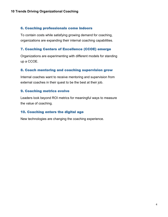# 6. Coaching professionals come indoors

To contain costs while satisfying growing demand for coaching, organizations are expanding their internal coaching capabilities.

# 7. Coaching Centers of Excellence (CCOE) emerge

Organizations are experimenting with different models for standing up a CCOE.

# 8. Coach mentoring and coaching supervision grow

Internal coaches want to receive mentoring and supervision from external coaches in their quest to be the best at their job.

# 9. Coaching metrics evolve

Leaders look beyond ROI metrics for meaningful ways to measure the value of coaching.

# 10. Coaching enters the digital age

New technologies are changing the coaching experience.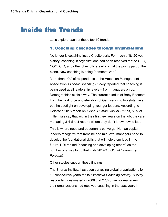# Inside the Trends

Let's explore each of these top 10 trends.

# 1. Coaching cascades through organizations

No longer is coaching just a C-suite perk. For much of its 20-year history, coaching in organizations had been reserved for the CEO, COO, CIO, and other chief officers who sit at the pointy part of the plane. Now coaching is being "democratized."

More than 40% of respondents to the American Management Association's *Global Coaching Survey* reported that coaching is being used at all leadership levels – from managers on up. Demographics explain why. The current exodus of Baby Boomers from the workforce and elevation of Gen Xers into top slots have put the spotlight on developing younger leaders. According to Deloitte's 2015 report on *Global Human Capital Trends*, 50% of millennials say that within their first few years on the job, they are managing 3-4 direct reports whom they don't know how to lead.

This is where need and opportunity converge. Human capital leaders recognize that frontline and mid-level managers need to develop the foundational skills that will help them lead in the future. DDI ranked "coaching and developing others" as the number one way to do that in its 2014/15 *Global Leadership Forecast*.

Other studies support these findings.

The Sherpa Institute has been surveying global organizations for 10 consecutive years for its *Executive Coaching Survey*. Survey respondents estimated in 2008 that 27% of senior managers in their organizations had received coaching in the past year. In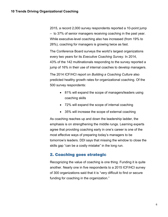2015, a record 2,000 survey respondents reported a 10-point jump – to 37% of senior managers receiving coaching in the past year. While executive-level coaching also has increased (from 19% to 26%), coaching for managers is growing twice as fast.

The Conference Board surveys the world's largest organizations every two years for its *Executive Coaching Survey.* In 2014, 43% of the 142 multinationals responding to the survey reported a jump of 16% in their use of internal coaches to develop managers.

The 2014 ICF/HCI report on *Building a Coaching Culture* also predicted healthy growth rates for organizational coaching. Of the 500 survey respondents:

- 81% will expand the scope of managers/leaders using coaching skills
- 72% will expand the scope of internal coaching
- 35% will increase the scope of external coaching

As coaching reaches up and down the leadership ladder, the emphasis is on strengthening the middle rungs. Learning experts agree that providing coaching early in one's career is one of the most effective ways of preparing today's managers to be tomorrow's leaders. DDI says that missing the window to close the skills gap "can be a costly mistake" in the long run.

# 2. Coaching goes strategic

Recognizing the value of coaching is one thing. Funding it is quite another. Nearly one in five respondents to a 2015 ICF/HCI survey of 300 organizations said that it is "very difficult to find or secure funding for coaching in the organization."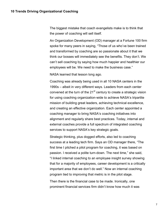The biggest mistake that coach evangelists make is to think that the power of coaching will sell itself.

An Organization Development (OD) manager at a Fortune 100 firm spoke for many peers in saying, "Those of us who've been trained and transformed by coaching are so passionate about it that we think our bosses will immediately see the benefits. They don't. We can't sell coaching by saying how much happier and healthier our employees will be. We need to make the business case."

NASA learned that lesson long ago.

Coaching was already being used in all 10 NASA centers in the 1990s – albeit in very different ways. Leaders from each center convened at the turn of the  $21<sup>st</sup>$  century to create a strategic vision for using coaching organization-wide to achieve NASA's tripartite mission of building great leaders, achieving technical excellence, and creating an effective organization. Each center appointed a coaching manager to bring NASA's coaching initiatives into alignment and regularly share best practices. Today, internal and external coaches provide a full spectrum of integrated coaching services to support NASA's key strategic goals.

Strategic thinking, plus dogged efforts, also led to coaching success at a leading tech firm. Says an OD manager there, "The first time I pitched a pilot program for coaching, it was based on passion. I received a polite turn-down. The next time," she said, "I linked internal coaching to an employee insight survey showing that for a majority of employees, career development is a critically important area that we don't do well." Now an internal coaching program tied to improving that metric is in the pilot stage.

Then there is the financial case to be made. Ironically, one prominent financial services firm didn't know how much it was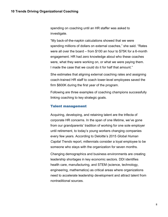spending on coaching until an HR staffer was asked to investigate.

"My back-of-the-napkin calculations showed that we were spending millions of dollars on external coaches," she said. "Rates were all over the board – from \$100 an hour to \$75K for a 6-month engagement. HR had zero knowledge about who these coaches were, what they were working on, or what we were paying them. I made the case that we could do it for half that amount."

She estimates that aligning external coaching rates and assigning coach-trained HR staff to coach lower-level employees saved the firm \$600K during the first year of the program.

Following are three examples of coaching champions successfully linking coaching to key strategic goals.

#### Talent management

Acquiring, developing, and retaining talent are the trifecta of corporate HR concerns. In the span of one lifetime, we've gone from our grandparents' tradition of working for one sole employer until retirement, to today's young workers changing companies every few years. According to Deloitte's 2015 *Global Human Capital Trends* report, millennials consider a loyal employee to be someone who stays with the organization for seven months.

Changing demographics and business environments are creating leadership shortages in key economic sectors. DDI identifies health care, manufacturing, and STEM (science, technology, engineering, mathematics) as critical areas where organizations need to accelerate leadership development and attract talent from nontraditional sources.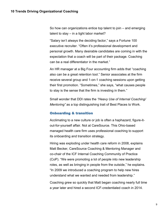So how can organizations entice top talent to join – and emerging talent to stay – in a tight labor market?

"Salary isn't always the deciding factor," says a Fortune 100 executive recruiter. "Often it's professional development and personal growth. Many desirable candidates are coming in with the expectation that a coach will be part of their package. Coaching can be a real differentiator in the market."

An HR manager at a Big Four accounting firm adds that "coaching also can be a great retention tool." Senior associates at the firm receive several group and 1-on-1 coaching sessions upon getting their first promotion. "Sometimes," she says, "what causes people to stay is the sense that the firm is investing in them."

Small wonder that DDI rates the *"Heavy Use of Internal Coaching/ Mentoring"* as a top distinguishing trait of Best Places to Work.

#### Onboarding & transition

Acclimating to a new culture or job is often a haphazard, figure-itout-for-yourself affair. Not at CareSource. This Ohio-based managed health care firm uses professional coaching to support its onboarding and transition strategy.

Hiring was exploding under health care reform in 2008, explains Matt Becker, CareSource Coaching & Mentoring Manager and co-chair of the ICF Internal Coaching Community of Practice (CoP). "We were promoting a lot of people into new leadership roles, as well as bringing in people from the outside," he explains. "In 2009 we introduced a coaching program to help new hires understand what we wanted and needed from leadership."

Coaching grew so quickly that Matt began coaching nearly full time a year later and hired a second ICF-credentialed coach in 2014.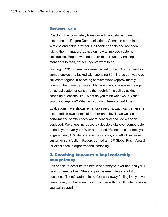#### Customer care

Coaching has completely transformed the customer care experience at Rogers Communications, Canada's preeminent wireless and cable provider. Call center agents had not been taking their managers' advice on how to improve customer satisfaction. Rogers wanted to turn that around by training managers to "ask, not tell" agents what to do.

Starting in 2013, managers were trained in the ICF core coaching competencies and tasked with spending 30 minutes per week, per call center agent, in coaching conversations (approximately 8-9 hours of their time per week). Managers would observe the agent on actual customer calls and then debrief the call by asking coaching questions like: "What do you think went well? What could you improve? What will you do differently next time?"

Evaluations have shown remarkable results. Each call center site exceeded its own historical performance levels, as well as the performance of other sites where coaching had not yet been deployed. Revenues increased by double digits over comparable periods year-over-year. With a reported 9% increase in employee engagement, 40% decline in attrition rates, and 400% increase in customer satisfaction, Rogers earned an ICF Global Prism Award for excellence in organizational coaching.

# 3. Coaching becomes a key leadership competency

Ask people to describe the best leader they've ever had and you'll hear comments like: "She's a great listener. He asks a lot of questions. There's authenticity. You walk away feeling like you've been heard, so that even if you disagree with the ultimate decision, you can support it."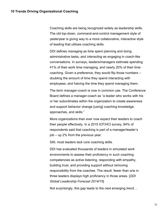Coaching skills are being recognized widely as leadership skills. The old top-down, command-and-control management style of yesteryear is giving way to a more collaborative, interactive style of leading that utilizes coaching skills.

DDI defines *managing* as time spent planning and doing administrative tasks, and *interacting* as engaging in coach-like conversations. In surveys, leaders/managers estimate spending 41% of their work time managing, and nearly 20% of their time coaching. Given a preference, they would flip those numbers – doubling the amount of time they spend interacting with employees, and halving the time they spend managing them.

The term *manager-coach* is now in common use. The Conference Board defines a manager-coach as "a leader who works with his or her subordinates within the organization to create awareness and support behavior change [using] coaching knowledge, approaches, and skills."

More organizations than ever now expect their leaders to coach their people effectively. In a 2015 ICF/HCI survey, 84% of respondents said that coaching is part of a manager/leader's job – up 2% from the previous year.

Still, most leaders lack core coaching skills.

DDI has evaluated thousands of leaders in simulated work environments to assess their proficiency in such coaching competencies as active listening, responding with empathy, building trust, and providing support without removing responsibility from the coachee. The result: fewer than one in three leaders displays high proficiency in those areas. [*DDI Global Leadership Forecast 2014/15*]

Not surprisingly, this gap leads to the next emerging trend…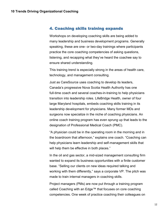# 4. Coaching skills training expands

Workshops on developing coaching skills are being added to many leadership and business development programs. Generally speaking, these are one- or two-day trainings where participants practice the core coaching competencies of asking questions, listening, and recapping what they've heard the coachee say to ensure shared understanding.

This training trend is especially strong in the areas of health care, technology, and management consulting.

Just as CareSource uses coaching to develop its leaders, Canada's progressive Nova Scotia Health Authority has one full-time coach and several coaches-in-training to help physicians transition into leadership roles. LifeBridge Health, owner of four large Maryland hospitals, embeds coaching skills training in its leadership development for physicians. Many former MDs and surgeons now specialize in the niche of coaching physicians. An online coach training program has even sprung up that leads to the designation of Professional Medical Coach (PMC).

"A physician could be in the operating room in the morning and in the boardroom that afternoon," explains one coach. "Coaching can help physicians learn leadership and self-management skills that will help them be effective in both places."

In the oil and gas sector, a mid-sized management consulting firm wanted to expand its business opportunities with a finite customer base. "Selling our clients on new ideas required talking and working with them differently," says a corporate VP. The pitch was made to train internal managers in coaching skills.

Project managers (PMs) are now put through a training program called Coaching with an Edge™ that focuses on core coaching competencies. One week of practice coaching their colleagues on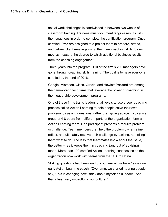actual work challenges is sandwiched in between two weeks of classroom training. Trainees must document tangible results with their coachees in order to complete the certification program. Once certified, PMs are assigned to a project team to prepare, attend, and debrief client meetings using their new coaching skills. Sales metrics measure the degree to which additional business results from the coaching engagement.

Three years into the program, 110 of the firm's 200 managers have gone through coaching skills training. The goal is to have everyone certified by the end of 2016.

Google, Microsoft, Cisco, Oracle, and Hewlett-Packard are among the name-brand tech firms that leverage the power of coaching in their leadership development programs.

One of these firms trains leaders at all levels to use a peer coaching process called Action Learning to help people solve their own problems by asking questions, rather than giving advice. Typically a group of 4-8 peers from different parts of the organization form an Action Learning team. One participant presents a real-life problem or challenge. Team members then help the problem owner refine, reflect, and ultimately resolve their challenge by "asking, not telling" them what to do. The less that teammates know about the issue, the better – as it keeps them in coaching (and out of advising) mode. More than 100 certified Action Learning coaches inside the organization now work with teams from the U.S. to China.

"Asking questions had been kind of counter-culture here," says one early Action Learning coach. "Over time, we started hearing people say, 'This is changing how I think about myself as a leader.' And that's been very impactful to our culture."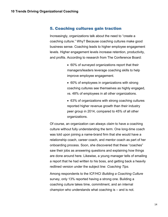## 5. Coaching cultures gain traction

Increasingly, organizations talk about the need to "create a coaching culture." Why? Because coaching cultures make good business sense. Coaching leads to higher employee engagement levels. Higher engagement levels increase retention, productivity, and profits. According to research from The Conference Board:

- 60% of surveyed organizations report that their managers/leaders leverage coaching skills to help improve employee engagement.
- 60% of employees in organizations with strong coaching cultures see themselves as highly engaged, vs. 48% of employees in all other organizations.
- 63% of organizations with strong coaching cultures reported higher revenue growth than their industry peer group in 2014, compared to 45% of all other organizations.

Of course, an organization can always *claim* to have a coaching culture without fully understanding the term. One long-time coach was told upon joining a name-brand firm that she would have a relationship coach, career coach, and mentor coach as part of her onboarding process. Soon, she discovered that these "coaches" saw their jobs as answering questions and explaining how things are done around here. Likewise, a young manager tells of emailing a report that he had written to his boss, and getting back a heavily redlined version under the subject line: *Coaching Tips.*

Among respondents to the ICF/HCI *Building a Coaching Culture*  survey, only 13% reported having a strong one. Building a coaching culture takes time, commitment, and an internal champion who understands what coaching is – and is not.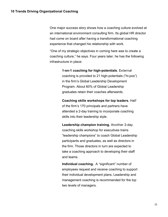One major success story shows how a coaching culture evolved at an international environment consulting firm. Its global HR director had come on board after having a transformational coaching experience that changed his relationship with work.

"One of my strategic objectives in coming here was to create a coaching culture," he says. Four years later, he has the following infrastructure in place:

> **1-on-1 coaching for high-potentials**. External coaching is provided to 21 high-potentials ("hi-pos") in the firm's Global Leadership Development Program. About 60% of Global Leadership graduates retain their coaches afterwards.

> **Coaching skills workshops for top leaders.** Half of the firm's 170 principals and partners have attended a 2-day training to incorporate coaching skills into their leadership style.

**Leadership champion training.** Another 2-day coaching skills workshop for executives trains "leadership champions" to coach Global Leadership participants and graduates, as well as directors in the firm. Those directors in turn are expected to take a coaching approach to developing their staff and teams.

**Individual coaching.** A "significant" number of employees request and receive coaching to support their individual development plans. Leadership and management coaching is recommended for the top two levels of managers.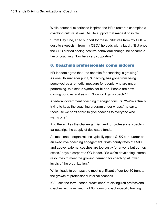While personal experience inspired the HR director to champion a coaching culture, it was C-suite support that made it possible.

"From Day One, I had support for these initiatives from my COO – despite skepticism from my CEO," he adds with a laugh. "But once the CEO started seeing positive behavioral change, he became a fan of coaching. Now he's very supportive."

# 6. Coaching professionals come indoors

HR leaders agree that "the appetite for coaching is growing." As one HR manager put it, "Coaching has gone from being perceived as a remedial measure for people who are underperforming, to a status symbol for hi-pos. People are now coming up to us and asking, 'How do I get a coach?'"

A federal government coaching manager concurs. "We're actually trying to keep the coaching program under wraps," he says, "because we can't afford to give coaches to everyone who wants one."

And therein lies the challenge. Demand for professional coaching far outstrips the supply of dedicated funds.

As mentioned, organizations typically spend \$15K per quarter on an executive coaching engagement. "With hourly rates of \$500 and above, external coaches are too costly for anyone but our top execs," says a corporate OD leader. "So we're developing internal resources to meet the growing demand for coaching at lower levels of the organization."

Which leads to perhaps the most significant of our top 10 trends: the growth of professional internal coaches.

ICF uses the term "coach-practitioner" to distinguish professional coaches with a minimum of 60 hours of coach-specific training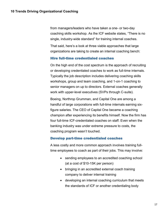from managers/leaders who have taken a one- or two-day coaching skills workshop. As the ICF website states, "There is no single, industry-wide standard" for training internal coaches.

That said, here's a look at three viable approaches that large organizations are taking to create an internal coaching bench:

#### Hire full-time credentialed coaches

On the high end of the cost spectrum is the approach of recruiting or developing credentialed coaches to work as full-time internals. Typically the job description includes delivering coaching skills workshops, group and team coaching, and 1-on-1 coaching to senior managers on up to directors. External coaches generally work with upper-level executives (SVPs through C-suite).

Boeing, Northrop Grumman, and Capital One are among a handful of large corporations with full-time internals earning sixfigure salaries. The CEO of Capital One became a coaching champion after experiencing its benefits himself. Now the firm has four full-time ICF-credentialed coaches on staff. Even when the banking industry was under extreme pressure to costs, the coaching program wasn't touched.

# Develop part-time credentialed coaches

A less costly and more common approach involves training fulltime employees to coach as part of their jobs. This may involve:

- sending employees to an accredited coaching school (at a cost of \$10-15K per person)
- bringing in an accredited external coach training company to deliver internal training
- developing an internal coaching curriculum that meets the standards of ICF or another credentialing body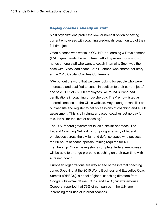#### Deploy coaches already on staff

Most organizations prefer the low- or no-cost option of having current employees with coaching credentials coach on top of their full-time jobs.

Often a coach who works in OD, HR, or Learning & Development (L&D) spearheads the recruitment effort by asking for a show of hands among staff who want to coach internally. Such was the case with Cisco lead coach Beth Huebner, who shared her story at the 2015 Capital Coaches Conference.

"We put out the word that we were looking for people who were interested and qualified to coach in addition to their current jobs," she said. "Out of 75,000 employees, we found 30 who had certifications in coaching or psychology. They're now listed as internal coaches on the Cisco website. Any manager can click on our website and register to get six sessions of coaching and a 360 assessment. This is all volunteer-based; coaches get no pay for this. It's all for the love of coaching."

The U.S. federal government takes a similar approach. The Federal Coaching Network is compiling a registry of federal employees across the civilian and defense space who possess the 60 hours of coach-specific training required for ICF membership. Once the registry is complete, federal employees will be able to arrange pro-bono coaching on their own time with a trained coach.

European organizations are way ahead of the internal coaching curve. Speaking at the 2015 World Business and Executive Coach Summit (WBECS), a panel of global coaching directors from Google, GlaxoSmithKline (GSK), and PwC (Pricewaterhouse Coopers) reported that 79% of companies in the U.K. are increasing their use of internal coaches.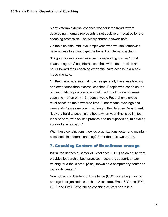Many veteran external coaches wonder if the trend toward developing internals represents a net positive or negative for the coaching profession. The widely shared answer: both.

On the plus side, mid-level employees who wouldn't otherwise have access to a coach get the benefit of internal coaching.

"It's good for everyone because it's expanding the pie," most coaches agree. Also, internal coaches who need practice and hours toward their coaching credential have access to a readymade clientele.

On the minus side, internal coaches generally have less training and experience than external coaches. People who coach on top of their full-time jobs spend a small fraction of their work week coaching – often only 1-3 hours a week. Federal employees must coach on their own free time. "That means evenings and weekends," says one coach working in the Defense Department. "It's very hard to accumulate hours when your time is so limited. It's also hard, with so little practice and no supervision, to develop your skills as a coach."

With these constrictions, how do organizations foster and maintain excellence in internal coaching? Enter the next two trends.

# 7. Coaching Centers of Excellence emerge

*Wikipedia* defines a Center of Excellence (COE) as an entity "that provides leadership, best practices, research, support, and/or training for a focus area. [Also] known as a competency center or capability center."

Now, Coaching Centers of Excellence (CCOE) are beginning to emerge in organizations such as Accenture, Ernst & Young (EY), GSK, and PwC . What these coaching centers share is a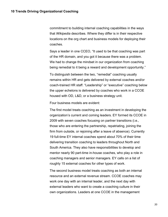commitment to building internal coaching capabilities in the ways that *Wikipedia* describes. Where they differ is in their respective locations on the org chart and business models for deploying their coaches.

Says a leader in one CCEO, "It used to be that coaching was part of the HR domain, and you got it because there was a problem. We had to change the mindset in our organization from coaching being remedial to it being a reward and development opportunity."

To distinguish between the two, "remedial" coaching usually remains within HR and gets delivered by external coaches and/or coach-trained HR staff. "Leadership" or "executive" coaching below the upper echelons is delivered by coaches who work in a CCOE housed with OD, L&D, or a business strategy unit.

Four business models are evident:

The first model treats coaching as an investment in developing the organization's current and coming leaders. EY formed its CCOE in 2009 with seven coaches focusing on partner transitions (i.e., those who are entering the partnership, repatriating, joining the firm from outside, or rejoining after a leave of absence). Currently 19 full-time EY internal coaches spend about 70% of their time delivering transition coaching to leaders throughout North and South America. They also have responsibilities to develop and mentor nearly 90 part-time in-house coaches, who play a role in coaching managers and senior managers. EY calls on a list of roughly 15 external coaches for other types of work.

The second business model treats coaching as both an internal resource and an external revenue stream. CCOE coaches may work one day with an internal leader, and the next day with external leaders who want to create a coaching culture in their own organizations. Leaders at one CCOE in the management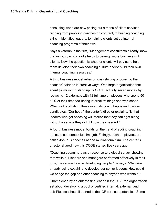consulting world are now pricing out a menu of client services ranging from providing coaches on contract, to building coaching skills in identified leaders, to helping clients set up internal coaching programs of their own.

Says a veteran in the firm, "Management consultants already know that using coaching skills helps to develop more business with clients. Now the question is whether clients will pay us to help them develop their own coaching culture and/or build their own internal coaching resources."

A third business model relies on cost-shifting or covering the coaches' salaries in creative ways. One large organization that spent \$2 million to stand up its CCOE actually *saved* money by replacing 12 externals with 12 full-time employees who spend 50- 60% of their time facilitating internal trainings and workshops. When not facilitating, these internals coach hi-pos and partner candidates. "Our hope," the center's director explains, "is that leaders who get coaching will realize that they can't get along without a service they didn't know they needed."

A fourth business model builds on the trend of adding coaching duties to someone's full-time job. Fittingly, such employees are called Job Plus coaches at one multinational firm. The center's director shared how this CCOE started five years ago:

"Coaching began here as a response to a global survey showing that while our leaders and managers performed effectively in their jobs, they scored low in developing people," he says. "We were already using coaching to develop our senior leaders. How could we bridge the gap and offer coaching to anyone who wants it?"

Championed by an enterprising leader in the U.K., the organization set about developing a pool of certified internal, external, and Job Plus coaches all trained in the ICF core competencies. Some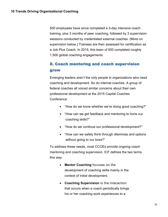500 employees have since completed a 3-day intensive coach training, plus 3 months of peer coaching, followed by 3 supervision sessions conducted by credentialed external coaches. (More on supervision below.) Trainees are then assessed for certification as a Job Plus Coach. In 2015, this team of 500 completed roughly 1,500 global coaching engagements.

# 8. Coach mentoring and coach supervision grow

Emerging leaders aren't the only people in organizations who need coaching and development. So do internal coaches. A group of federal coaches all voiced similar concerns about their own professional development at the 2015 Capital Coaches Conference:

- "How do we know whether we're doing good coaching?"
- "How can we get feedback and mentoring to hone our coaching skills?"
- "How do we continue our professional development?"
- "How can we safely think through dilemmas and options without going to our boss?"

To address these needs, most CCOEs provide ongoing coach mentoring and coaching supervision. ICF defines the two terms this way:

- **Mentor Coaching** focuses on the development of coaching skills mainly in the context of initial development.
- **Coaching Supervision** is the interaction that occurs when a coach periodically brings his or her coaching work experiences to a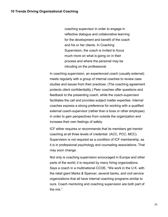coaching supervisor in order to engage in reflective dialogue and collaborative learning for the development and benefit of the coach and his or her clients. In Coaching Supervision, the coach is invited to focus much more on what is going on in their process and where the personal may be intruding on the professional.

In coaching supervision, an experienced coach (usually external) meets regularly with a group of internal coaches to review case studies and issues from their practices. (The coaching agreement protects client confidentiality.) Peer coaches offer questions and feedback to the presenting coach, while the coach-supervisor facilitates the call and provides subject matter expertise. Internal coaches express a strong preference for working with a qualified external coach-supervisor (rather than a boss or other employee) in order to gain perspectives from outside the organization and increase their own feelings of safety.

ICF either requires or recommends that its members get mentor coaching at all three levels of credential (ACC, PCC, MCC). Supervision is not required as a condition of ICF membership, as it is in professional psychology and counseling associations. That may soon change.

Not only is coaching supervision encouraged in Europe and other parts of the world; it is required by many hiring organizations. Says a coach in a multinational CCOE, "We work in the U.K. with the retail giant Marks & Spencer, several banks, and civil service organizations that all have internal coaching programs similar to ours. Coach mentoring and coaching supervision are both part of the mix."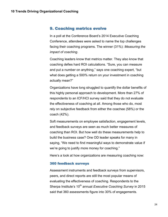# 9. Coaching metrics evolve

In a poll at the Conference Board's 2014 Executive Coaching Conference, attendees were asked to name the top challenges facing their coaching programs. The winner (31%): *Measuring the impact of coaching*.

Coaching leaders know that metrics matter. They also know that coaching defies hard ROI calculations. "Sure, you can measure and put a number on anything," says one coaching expert, "but what does getting a 500% return on your investment in coaching actually mean?"

Organizations have long struggled to quantify the dollar benefits of this highly personal approach to development. More than 27% of respondents to an ICF/HCI survey said that they do not evaluate the effectiveness of coaching at all. Among those who do, most rely on subjective feedback from either the coachee (58%) or the coach (42%).

Soft measurements on employee satisfaction, engagement levels, and feedback surveys are seen as much better measures of coaching than ROI. But how well do these measurements help to build the business case? One OD leader speaks for many in saying, "We need to find meaningful ways to demonstrate value if we're going to justify more money for coaching."

Here's a look at how organizations are measuring coaching now:

#### 360 feedback surveys

Assessment instruments and feedback surveys from supervisors, peers, and direct reports are still the most popular means of evaluating the effectiveness of coaching. Respondents to the Sherpa Institute's 10<sup>th</sup> annual *Executive Coaching Survey* in 2015 said that 360 assessments figure into 30% of engagements.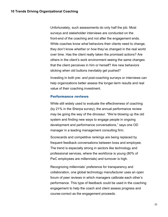Unfortunately, such assessments do only half the job. Most surveys and stakeholder interviews are conducted on the front-end of the coaching and not after the engagement ends. While coaches know *what* behaviors their clients need to change, they don't know *whether* or *how* they've changed in the real world over time. Has the client really taken the promised actions? Are others in the client's work environment seeing the same changes that the client perceives in him or herself? Are new behaviors sticking when old buttons inevitably get pushed?

Investing in both pre- *and* post-coaching surveys or interviews can help organizations better assess the longer-term results and real value of their coaching investment.

#### Performance reviews

While still widely used to evaluate the effectiveness of coaching (by 21% in the Sherpa survey), the annual performance review may be going the way of the dinosaur. "We're blowing up the old system and finding new ways to engage people in ongoing development and performance conversations," says one OD manager in a leading management consulting firm.

Scorecards and competitive rankings are being replaced by frequent feedback conversations between boss and employee. The trend is especially strong in sectors like technology and professional services, where the workforce is young (80% of PwC employees are millennials) and turnover is high.

Recognizing millennials' preference for transparency and collaboration, one global technology manufacturer uses an open forum of peer reviews in which managers calibrate each other's performance. This type of feedback could be used in the coaching engagement to help the coach and client assess progress and course-correct as the engagement proceeds.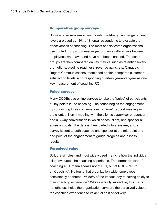#### Comparative group surveys

Surveys to assess employee morale, well-being, and engagement levels are used by 19% of Sherpa respondents to evaluate the effectiveness of coaching. The most sophisticated organizations use control groups to measure performance differentials between employees who have, and have not, been coached. The control groups are then compared on key metrics such as retention levels, promotions, pipeline readiness, revenue gains, etc. Canada's Rogers Communications, mentioned earlier, compares customer satisfaction levels in corresponding quarters year-over-year as one key measurement of coaching ROI.

#### Pulse surveys

Many CCOEs use online surveys to take the "pulse" of participants at key points in the coaching. The coach begins the engagement by conducting three conversations: a 1-on-1 rapport meeting with the client; a 1-on-1 meeting with the client's supervisor or sponsor; and a 3-way conversation in which coach, client, and sponsor all agree on goals. The data is then loaded into a system, and a survey is sent to both coachee and sponsor at the mid-point and end-point of the engagement to gauge progress and assess results.

#### Perceived value

Still, the simplest and most widely used metric is how the individual client evaluates the coaching experience. The former director of coaching at Humana speaks not of ROI, but of ROC (Return on Coaching). He found that organization-wide, employees consistently attributed "56-58% of the impact they're having solely to their coaching experience." While certainly subjective, this metric nonetheless helps the organization compare the perceived value of the coaching experience to its actual cost of delivery.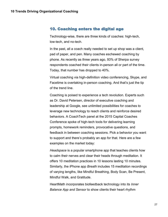# 10. Coaching enters the digital age

Technology-wise, there are three kinds of coaches: high-tech, low-tech, and no-tech.

In the past, all a coach really needed to set up shop was a client, pad of paper, and pen. Many coaches eschewed coaching by phone. As recently as three years ago, 93% of Sherpa survey respondents coached their clients in-person all or part of the time. Today, that number has dropped to 40%.

Virtual coaching via high-definition video conferencing, Skype, and Facetime is overtaking in-person coaching. And that's just the tip of the trend line.

Coaching is poised to experience a tech revolution. Experts such as Dr. David Petersen, director of executive coaching and leadership at Google, see unlimited possibilities for coaches to leverage new technology to reach clients and reinforce desired behaviors. A CoachTech panel at the 2015 Capital Coaches Conference spoke of high-tech tools for delivering learning prompts, homework reminders, provocative questions, and feedback in between coaching sessions. Pick a behavior you want to support and there's probably an app for that. Here are a few examples on the market today:

*Headspace* is a popular smartphone app that teaches clients how to calm their nerves and clear their heads through meditation. It offers 10 meditation practices in 10 lessons lasting 10 minutes. Similarly, the iPhone app *Breath* includes 15 meditation recordings of varying lengths, like Mindful Breathing, Body Scan, Be Present, Mindful Walk, and Gratitude.

HeartMath incorporates biofeedback technology into its *Inner Balance App and Sensor* to show clients their heart rhythm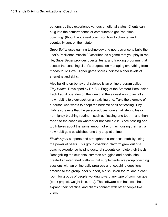patterns as they experience various emotional states. Clients can plug into their smartphones or computers to get "real-time coaching" (though not a real coach) on how to change, and eventually control, their state.

*SuperBetter* uses gaming technology and neuroscience to build the user's "resilience muscle." Described as a game that you play in real life, SuperBetter provides quests, tests, and tracking programs that assess the coaching client's progress on managing everything from moods to To Do's. Higher game scores indicate higher levels of strengths and skills.

Also building on behavioral science is an online program called *Tiny Habits*. Developed by Dr. B.J. Fogg of the Stanford Persuasion Tech Lab, it operates on the idea that the easiest way to install a new habit is to piggyback on an existing one. Take the example of a person who wants to adopt the bedtime habit of flossing. Tiny Habits suggests that the person add just one small step to his or her nightly brushing routine – such as flossing one tooth – and then report to the coach on whether or not s/he did it. Since flossing one tooth takes about the same amount of effort as flossing them all, a new habit gets established one tiny step at a time.

*Finish Agent* supports and strengthens client accountability using the power of peers. This group coaching platform grew out of a coach's experience helping doctoral students complete their thesis. Recognizing the students' common struggles and needs, she created an integrated platform that supplements live group coaching sessions with an online daily progress grid, coaching questions emailed to the group, peer support, a discussion forum, and a chat room for groups of people working toward any type of common goal (book project, weight loss, etc.). The software can help coaches expand their practice, and clients connect with other people like them.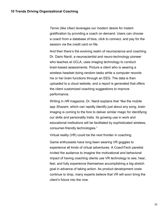*Ternio* (like Uber) leverages our modern desire for instant gratification by providing a coach on demand. Users can choose a coach from a database of bios, click to connect, and pay for the session via the credit card on file.

And then there's the evolving realm of neuroscience and coaching. Dr. Dario Nardi, a neuroscientist and neuro-technology pioneer who teaches at UCLA, uses imaging technology to conduct brain-based assessments. Picture a client who is wearing a wireless headset doing random tasks while a computer records his or her brain functions through an EEG. The data is then uploaded to a cloud website, and a report is generated that offers the client customized coaching suggestions to improve performance.

Writing in *HR* magazine, Dr. Nardi explains that "like the mobile app *Shazam*, which can rapidly identify just about any song, brain imaging is coming to the fore to deliver similar magic for identifying our skills and personality traits. Its growing use in work and educational institutions will be facilitated by sophisticated wireless, consumer-friendly technologies."

Virtual reality (VR) could be the next frontier in coaching.

Game enthusiasts have long been wearing VR goggles to experience all kinds of virtual adventures. A CoachTech panelist invited the audience to imagine the motivational and behavioral impact of having coaching clients use VR technology to see, hear, feel, and fully experience themselves accomplishing a big stretch goal in advance of taking action. As product development costs continue to drop, many experts believe that VR will soon bring the client's future into the now.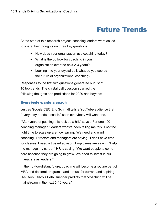# Future Trends

At the start of this research project, coaching leaders were asked to share their thoughts on three key questions:

- How does your organization use coaching today?
- What is the outlook for coaching in your organization over the next 2-3 years?
- Looking into your crystal ball, what do you see as the future of organizational coaching?

Responses to the first two questions generated our list of 10 top trends. The crystal ball question sparked the following thoughts and predictions for 2020 and beyond:

# Everybody wants a coach

Just as Google CEO Eric Schmidt tells a YouTube audience that "everybody needs a coach," soon everybody will want one.

"After years of pushing this rock up a hill," says a Fortune 100 coaching manager, "leaders who've been telling me this is not the right time to scale up are now saying, 'We need and want coaching.' Directors and managers are saying, 'I don't have time for classes. I need a trusted advisor.' Employees are saying, 'Help me manage my career.' HR is saying, 'We want people to come here because they are going to grow. We need to invest in our managers as leaders.'"

In the not-too-distant future, coaching will become a routine part of MBA and doctoral programs, and a must for current and aspiring C-suiters. Cisco's Beth Huebner predicts that "coaching will be mainstream in the next 5-10 years."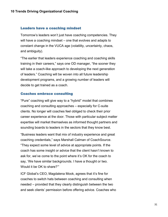#### Leaders have a coaching mindset

Tomorrow's leaders won't just have coaching competencies. They will have a coaching mindset – one that evolves and adapts to constant change in the VUCA age (volatility, uncertainty, chaos, and ambiguity).

"The earlier that leaders experience coaching and coaching skills training in their careers," says one OD manager, "the sooner they will take a coach-like approach to developing the next generation of leaders." Coaching will be woven into all future leadership development programs, and a growing number of leaders will decide to get trained as a coach.

#### Coaches embrace consulting

"Pure" coaching will give way to a "hybrid" model that combines coaching and consulting approaches – especially for C-suite clients. No longer will coaches feel obliged to check their prior career experience at the door. Those with particular subject matter expertise will market themselves as informed thought partners and sounding boards to leaders in the sectors that they know best.

"Business leaders want that mix of industry experience and great coaching credentials," says Marshall Calman of CoachSource. "They expect some level of advice at appropriate points. If the coach has some insight or advice that the client hasn't known to ask for, we've come to the point where it's OK for the coach to say, 'We have similar backgrounds. I have a thought or two. Would it be OK to share?'"

ICF Global's CEO, Magdalena Mook, agrees that it's fine for coaches to switch hats between coaching and consulting when needed – provided that they clearly distinguish between the two and seek clients' permission before offering advice. Coaches who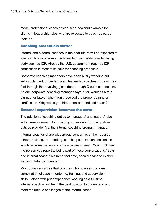model professional coaching can set a powerful example for clients in leadership roles who are expected to coach as part of their job.

## Coaching credentials matter

Internal and external coaches in the near future will be expected to earn certifications from an independent, accredited credentialing body such as ICF. Already the U.S. government requires ICF certification in most of its calls for coaching proposals.

Corporate coaching managers have been busily weeding out self-proclaimed, uncredentialed leadership coaches who got their foot through the revolving glass door through C-suite connections. As one corporate coaching manager says, "You wouldn't hire a plumber or lawyer who hadn't received the proper training or certification. Why would you hire a non-credentialed coach?"

#### External supervision becomes the norm

The addition of coaching duties to managers' and leaders' jobs will increase demand for coaching supervision from a qualified outside provider (vs. the internal coaching program manager).

Internal coaches share widespread concern over their bosses either providing, or attending, coaching supervision sessions in which personal issues and concerns are shared. "You don't want the person you report to being part of those conversations," says one internal coach. "We need that safe, sacred space to explore issues in total confidence."

Most observers agree that coaches who possess that rare combination of coach mentoring, training, and supervision skills – along with prior experience working as a full-time internal coach – will be in the best position to understand and meet the unique challenges of the internal coach.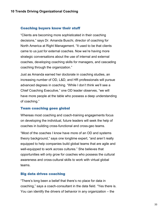#### Coaching buyers know their stuff

"Clients are becoming more sophisticated in their coaching decisions," says Dr. Amanda Buschi, director of coaching for North America at Right Management. "It used to be that clients came to us just for external coaches. Now we're having more strategic conversations about the use of internal and external coaches, developing coaching skills for managers, and cascading coaching through the organization."

Just as Amanda earned her doctorate in coaching studies, an increasing number of OD, L&D, and HR professionals will pursue advanced degrees in coaching. "While I don't think we'll see a Chief Coaching Executive," one OD leader observes, "we will have more people at the table who possess a deep understanding of coaching."

#### Team coaching goes global

Whereas most coaching and coach-training engagements focus on developing the individual, future leaders will seek the help of coaches in building cross-functional and cross-geo teams.

"Most of the coaches I know have more of an OD and systems theory background," says one longtime expert, "and aren't really equipped to help companies build global teams that are agile and well-equipped to work across cultures." She believes that opportunities will only grow for coaches who possess the cultural awareness and cross-cultural skills to work with virtual global teams.

#### Big data drives coaching

"There's long been a belief that there's no place for data in coaching," says a coach-consultant in the data field. "Yes there is. You can identify the drivers of behavior in any organization – the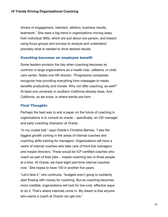drivers of engagement, retention, attrition, business results, teamwork." She sees a big trend in organizations moving away from individual 360s, which are just about one person, and toward using focus groups and surveys to analyze and understand precisely what is needed to drive desired results.

# Coaching becomes an employee benefit

Some leaders envision the day when coaching becomes as common in large organizations as a health club, cafeteria, or child care center. Notes one HR director, "Progressive companies recognize how providing everything from massages to meals benefits productivity and morale. Why not offer coaching, as well?" At least one university in southern California already does. And California, as we know, is where trends are born.

# Final Thoughts

Perhaps the best way to end a paper on the future of coaching in organizations is to consult an oracle – specifically, an OD manager and early coaching champion at Oracle.

"In my crystal ball," says Oracle's Christine Barnes, "I see the biggest growth coming in the areas of internal coaches and coaching skills training for managers. Organizations will have a cadre of internal coaches who take care of front-line managers and maybe directors. These would be ICF-certified coaches who coach as part of their jobs – maybe coaching two or three people at a time. At Oracle, we have eight part-time internal coaches now." She hopes to have 100 in another five years.

"Let's face it," she continues, "budgets aren't going to suddenly start flowing with money for coaching. But as coaching becomes more credible, organizations will look for low-cost, effective ways to do it. That's where internals come in. My dream is that anyone who wants a coach at Oracle can get one."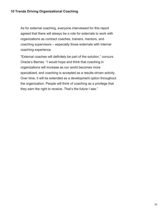As for external coaching, everyone interviewed for this report agreed that there will always be a role for externals to work with organizations as contract coaches, trainers, mentors, and coaching supervisors – especially those externals with internal coaching experience.

"External coaches will definitely be part of the solution," concurs Oracle's Barnes. "I would hope and think that coaching in organizations will increase as our world becomes more specialized, and coaching is accepted as a results-driven activity. Over time, it will be extended as a development option throughout the organization. People will think of coaching as a privilege that they earn the right to receive. That's the future I see."